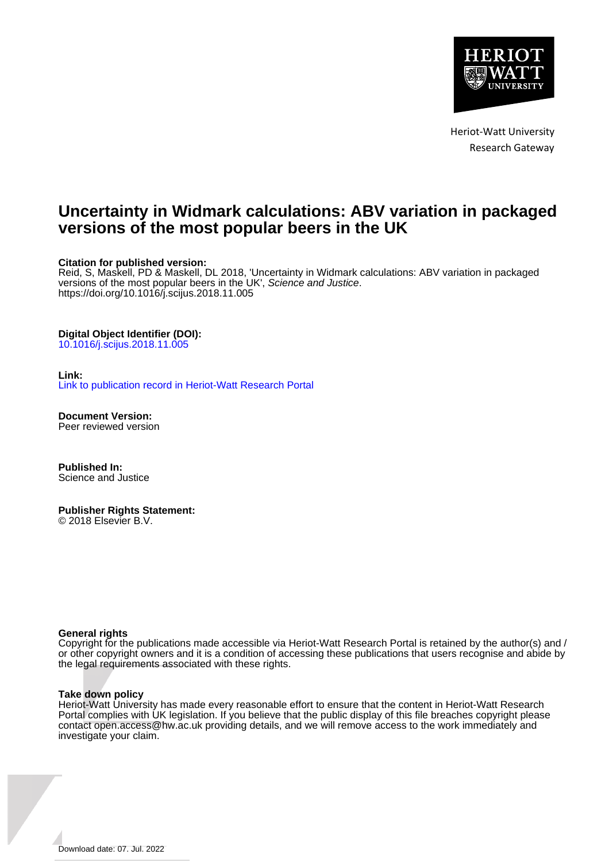

Heriot-Watt University Research Gateway

### **Uncertainty in Widmark calculations: ABV variation in packaged versions of the most popular beers in the UK**

#### **Citation for published version:**

Reid, S, Maskell, PD & Maskell, DL 2018, 'Uncertainty in Widmark calculations: ABV variation in packaged versions of the most popular beers in the UK', Science and Justice. <https://doi.org/10.1016/j.scijus.2018.11.005>

#### **Digital Object Identifier (DOI):**

[10.1016/j.scijus.2018.11.005](https://doi.org/10.1016/j.scijus.2018.11.005)

#### **Link:**

[Link to publication record in Heriot-Watt Research Portal](https://researchportal.hw.ac.uk/en/publications/9328b62e-6199-4d67-9e17-1c8c4315ac98)

**Document Version:** Peer reviewed version

**Published In:** Science and Justice

**Publisher Rights Statement:** © 2018 Elsevier B.V.

#### **General rights**

Copyright for the publications made accessible via Heriot-Watt Research Portal is retained by the author(s) and / or other copyright owners and it is a condition of accessing these publications that users recognise and abide by the legal requirements associated with these rights.

#### **Take down policy**

Heriot-Watt University has made every reasonable effort to ensure that the content in Heriot-Watt Research Portal complies with UK legislation. If you believe that the public display of this file breaches copyright please contact open.access@hw.ac.uk providing details, and we will remove access to the work immediately and investigate your claim.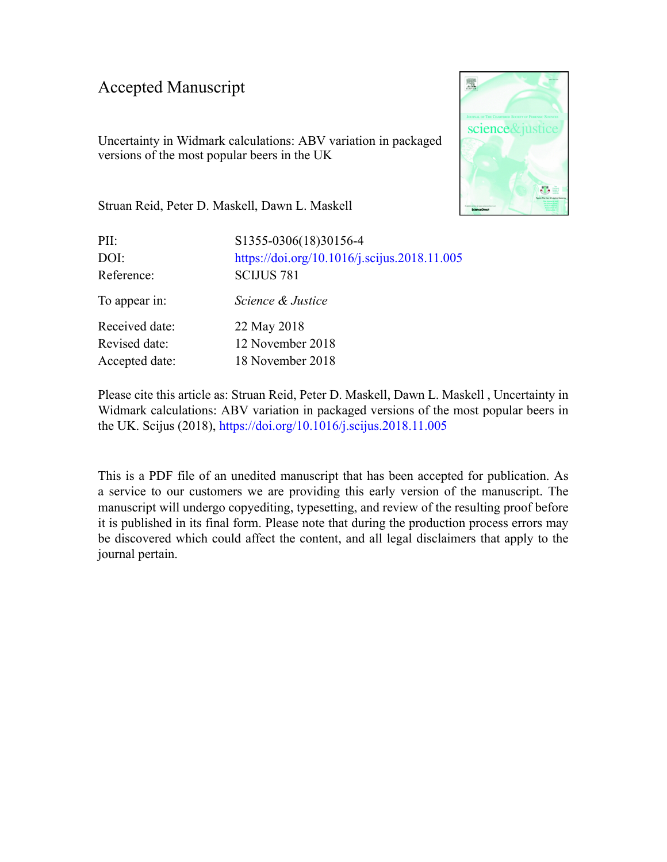### Accepted Manuscript

Uncertainty in Widmark calculations: ABV variation in packaged versions of the most popular beers in the UK



Struan Reid, Peter D. Maskell, Dawn L. Maskell

| PII:           | S1355-0306(18)30156-4                        |
|----------------|----------------------------------------------|
| DOI:           | https://doi.org/10.1016/j.scijus.2018.11.005 |
| Reference:     | <b>SCIJUS 781</b>                            |
| To appear in:  | Science & Justice                            |
| Received date: | 22 May 2018                                  |
| Revised date:  | 12 November 2018                             |
| Accepted date: | 18 November 2018                             |

Please cite this article as: Struan Reid, Peter D. Maskell, Dawn L. Maskell , Uncertainty in Widmark calculations: ABV variation in packaged versions of the most popular beers in the UK. Scijus (2018), <https://doi.org/10.1016/j.scijus.2018.11.005>

This is a PDF file of an unedited manuscript that has been accepted for publication. As a service to our customers we are providing this early version of the manuscript. The manuscript will undergo copyediting, typesetting, and review of the resulting proof before it is published in its final form. Please note that during the production process errors may be discovered which could affect the content, and all legal disclaimers that apply to the journal pertain.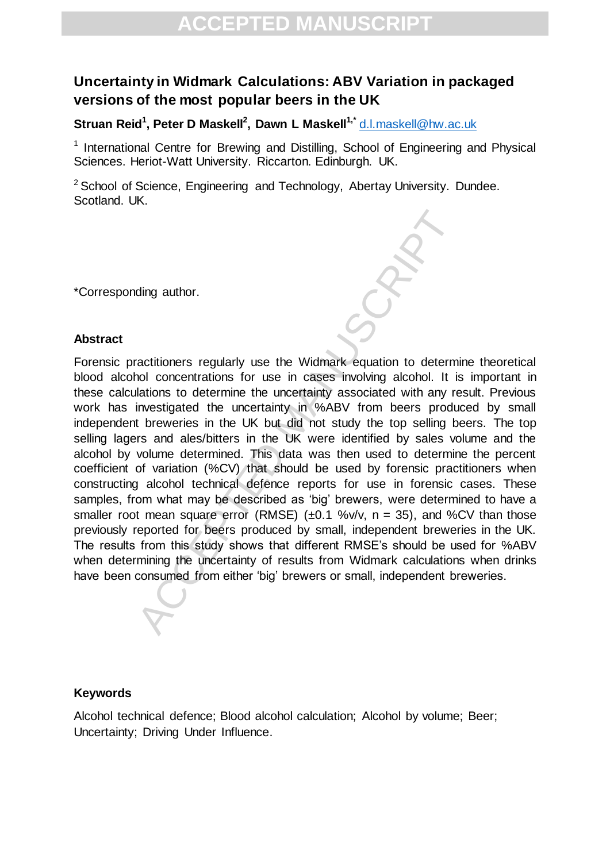### **Uncertainty in Widmark Calculations: ABV Variation in packaged versions of the most popular beers in the UK**

**Struan Reid<sup>1</sup> , Peter D Maskell<sup>2</sup> , Dawn L Maskell1,\*** [d.l.maskell@hw.ac.uk](mailto:d.l.maskell@hw.ac.uk)

<sup>1</sup> International Centre for Brewing and Distilling, School of Engineering and Physical Sciences. Heriot-Watt University. Riccarton. Edinburgh. UK.

 $2$  School of Science, Engineering and Technology, Abertay University. Dundee. Scotland. UK.

\*Corresponding author.

#### **Abstract**

ding author.<br>
ading author.<br>
ading author.<br>
ading author and concentrations for use in cases involving alcohol. It is<br>
altaions to determine the uncertainty ansociated with any re-<br>
investigated the uncertainty in %ABV fro Forensic practitioners regularly use the Widmark equation to determine theoretical blood alcohol concentrations for use in cases involving alcohol. It is important in these calculations to determine the uncertainty associated with any result. Previous work has investigated the uncertainty in %ABV from beers produced by small independent breweries in the UK but did not study the top selling beers. The top selling lagers and ales/bitters in the UK were identified by sales volume and the alcohol by volume determined. This data was then used to determine the percent coefficient of variation (%CV) that should be used by forensic practitioners when constructing alcohol technical defence reports for use in forensic cases. These samples, from what may be described as 'big' brewers, were determined to have a smaller root mean square error (RMSE)  $(\pm 0.1 \text{ %v/v}, n = 35)$ , and %CV than those previously reported for beers produced by small, independent breweries in the UK. The results from this study shows that different RMSE's should be used for %ABV when determining the uncertainty of results from Widmark calculations when drinks have been consumed from either 'big' brewers or small, independent breweries.

### **Keywords**

Alcohol technical defence; Blood alcohol calculation; Alcohol by volume; Beer; Uncertainty; Driving Under Influence.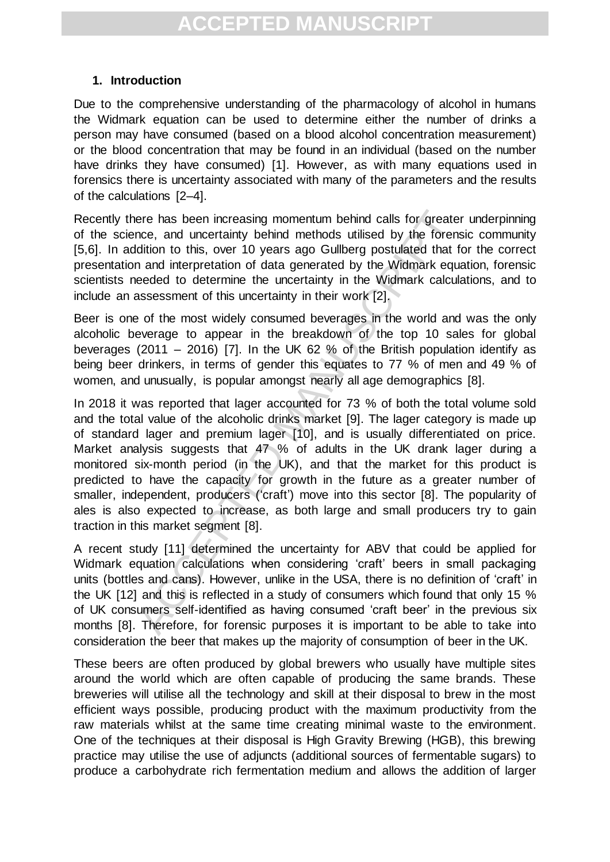### **1. Introduction**

Due to the comprehensive understanding of the pharmacology of alcohol in humans the Widmark equation can be used to determine either the number of drinks a person may have consumed (based on a blood alcohol concentration measurement) or the blood concentration that may be found in an individual (based on the number have drinks they have consumed) [1]. However, as with many equations used in forensics there is uncertainty associated with many of the parameters and the results of the calculations [2–4].

Recently there has been increasing momentum behind calls for greater underpinning of the science, and uncertainty behind methods utilised by the forensic community [5,6]. In addition to this, over 10 years ago Gullberg postulated that for the correct presentation and interpretation of data generated by the Widmark equation, forensic scientists needed to determine the uncertainty in the Widmark calculations, and to include an assessment of this uncertainty in their work [2].

Beer is one of the most widely consumed beverages in the world and was the only alcoholic beverage to appear in the breakdown of the top 10 sales for global beverages (2011 – 2016) [7]. In the UK 62 % of the British population identify as being beer drinkers, in terms of gender this equates to 77 % of men and 49 % of women, and unusually, is popular amongst nearly all age demographics [8].

ere has been increasing momentum behind calls for greate<br>noce, and uncertainty behind methods utilised by the forenar<br>didition to this, over 10 years ago Gullberg postulated that that<br>in and interpretation of data generate In 2018 it was reported that lager accounted for 73 % of both the total volume sold and the total value of the alcoholic drinks market [9]. The lager category is made up of standard lager and premium lager [10], and is usually differentiated on price. Market analysis suggests that 47 % of adults in the UK drank lager during a monitored six-month period (in the UK), and that the market for this product is predicted to have the capacity for growth in the future as a greater number of smaller, independent, producers ('craft') move into this sector [8]. The popularity of ales is also expected to increase, as both large and small producers try to gain traction in this market segment [8].

A recent study [11] determined the uncertainty for ABV that could be applied for Widmark equation calculations when considering 'craft' beers in small packaging units (bottles and cans). However, unlike in the USA, there is no definition of 'craft' in the UK [12] and this is reflected in a study of consumers which found that only 15 % of UK consumers self-identified as having consumed 'craft beer' in the previous six months [8]. Therefore, for forensic purposes it is important to be able to take into consideration the beer that makes up the majority of consumption of beer in the UK.

These beers are often produced by global brewers who usually have multiple sites around the world which are often capable of producing the same brands. These breweries will utilise all the technology and skill at their disposal to brew in the most efficient ways possible, producing product with the maximum productivity from the raw materials whilst at the same time creating minimal waste to the environment. One of the techniques at their disposal is High Gravity Brewing (HGB), this brewing practice may utilise the use of adjuncts (additional sources of fermentable sugars) to produce a carbohydrate rich fermentation medium and allows the addition of larger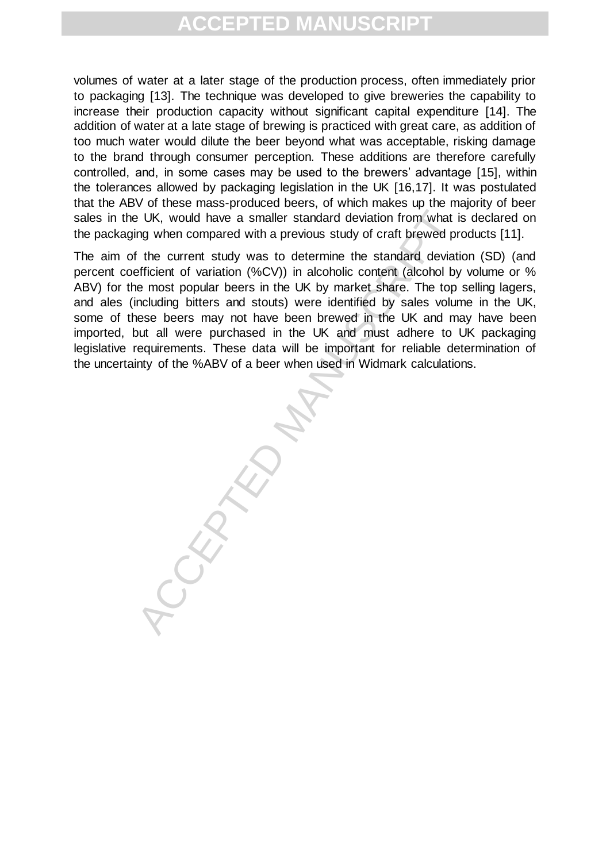volumes of water at a later stage of the production process, often immediately prior to packaging [13]. The technique was developed to give breweries the capability to increase their production capacity without significant capital expenditure [14]. The addition of water at a late stage of brewing is practiced with great care, as addition of too much water would dilute the beer beyond what was acceptable, risking damage to the brand through consumer perception. These additions are therefore carefully controlled, and, in some cases may be used to the brewers' advantage [15], within the tolerances allowed by packaging legislation in the UK [16,17]. It was postulated that the ABV of these mass-produced beers, of which makes up the majority of beer sales in the UK, would have a smaller standard deviation from what is declared on the packaging when compared with a previous study of craft brewed products [11].

BUK, would have a smaller standard deviation from what in the UK, would have a smaller standard deviation from what if the current study was to determine the standard deviation (%CV)) in alcoholic content (alcohol by energ The aim of the current study was to determine the standard deviation (SD) (and percent coefficient of variation (%CV)) in alcoholic content (alcohol by volume or % ABV) for the most popular beers in the UK by market share. The top selling lagers, and ales (including bitters and stouts) were identified by sales volume in the UK, some of these beers may not have been brewed in the UK and may have been imported, but all were purchased in the UK and must adhere to UK packaging legislative requirements. These data will be important for reliable determination of the uncertainty of the %ABV of a beer when used in Widmark calculations.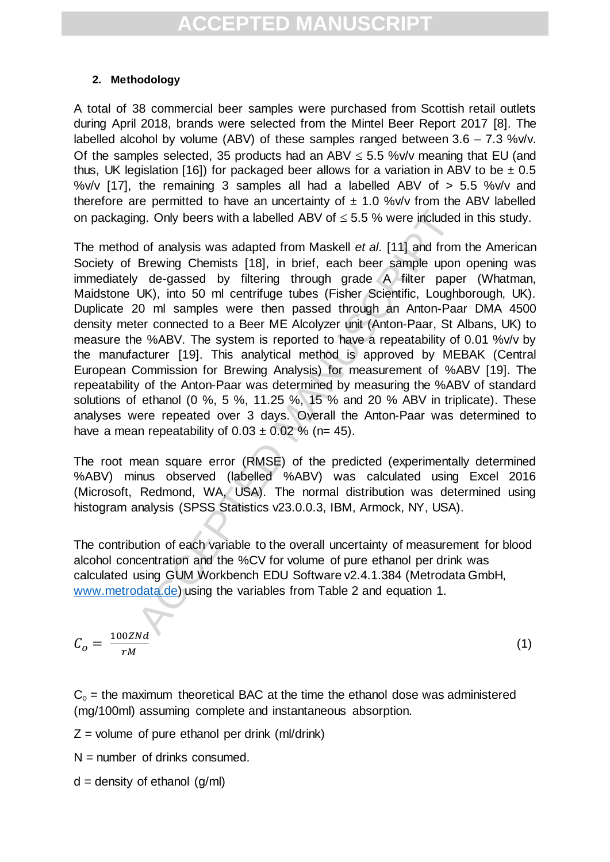### **2. Methodology**

A total of 38 commercial beer samples were purchased from Scottish retail outlets during April 2018, brands were selected from the Mintel Beer Report 2017 [8]. The labelled alcohol by volume (ABV) of these samples ranged between  $3.6 - 7.3$  %v/v. Of the samples selected, 35 products had an ABV  $\leq$  5.5 %v/v meaning that EU (and thus, UK legislation [16]) for packaged beer allows for a variation in ABV to be  $\pm$  0.5 %v/v  $117$ ], the remaining 3 samples all had a labelled ABV of  $> 5.5$  %v/v and therefore are permitted to have an uncertainty of  $\pm$  1.0 %v/v from the ABV labelled on packaging. Only beers with a labelled ABV of  $\leq$  5.5 % were included in this study.

ng. Only beers with a labelled ABV of  $\leq$  5.5 % were included<br>of analysis was adapted from Maskell *et al.* [11] and from<br>Brewing Chemists [18], in brief, each beer sample upon<br> $\sqrt{4}$  de-gassed by filtering through gra The method of analysis was adapted from Maskell *et al.* [11] and from the American Society of Brewing Chemists [18], in brief, each beer sample upon opening was immediately de-gassed by filtering through grade A filter paper (Whatman, Maidstone UK), into 50 ml centrifuge tubes (Fisher Scientific, Loughborough, UK). Duplicate 20 ml samples were then passed through an Anton-Paar DMA 4500 density meter connected to a Beer ME Alcolyzer unit (Anton-Paar, St Albans, UK) to measure the %ABV. The system is reported to have a repeatability of 0.01 %v/v by the manufacturer [19]. This analytical method is approved by MEBAK (Central European Commission for Brewing Analysis) for measurement of %ABV [19]. The repeatability of the Anton-Paar was determined by measuring the %ABV of standard solutions of ethanol (0 %, 5 %, 11.25 %, 15 % and 20 % ABV in triplicate). These analyses were repeated over 3 days. Overall the Anton-Paar was determined to have a mean repeatability of  $0.03 \pm 0.02$  % (n= 45).

The root mean square error (RMSE) of the predicted (experimentally determined %ABV) minus observed (labelled %ABV) was calculated using Excel 2016 (Microsoft, Redmond, WA, USA). The normal distribution was determined using histogram analysis (SPSS Statistics v23.0.0.3, IBM, Armock, NY, USA).

The contribution of each variable to the overall uncertainty of measurement for blood alcohol concentration and the %CV for volume of pure ethanol per drink was calculated using GUM Workbench EDU Software v2.4.1.384 (Metrodata GmbH, [www.metrodata.de\)](http://www.metrodata.de/) using the variables from Table 2 and equation 1.

$$
C_o = \frac{100 ZNd}{rM}
$$

(1)

 $C<sub>o</sub>$  = the maximum theoretical BAC at the time the ethanol dose was administered (mg/100ml) assuming complete and instantaneous absorption.

- $Z =$  volume of pure ethanol per drink (ml/drink)
- $N =$  number of drinks consumed.
- $d =$  density of ethanol  $(q/ml)$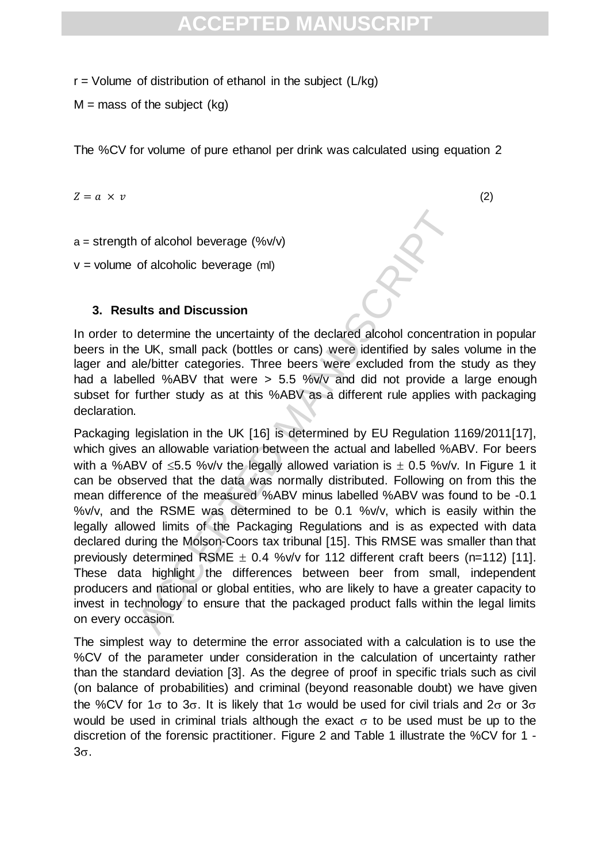$r =$  Volume of distribution of ethanol in the subject ( $L/kg$ )

 $M =$  mass of the subject (kg)

The %CV for volume of pure ethanol per drink was calculated using equation 2

 $Z = a \times v$  (2)

 $a =$  strength of alcohol beverage (% $v/v$ )

 $v =$  volume of alcoholic beverage (ml)

### **3. Results and Discussion**

In order to determine the uncertainty of the declared alcohol concentration in popular beers in the UK, small pack (bottles or cans) were identified by sales volume in the lager and ale/bitter categories. Three beers were excluded from the study as they had a labelled %ABV that were > 5.5 %v/v and did not provide a large enough subset for further study as at this %ABV as a different rule applies with packaging declaration.

of alcohol beverage (%v/v)<br>of alcoholic beverage (ml)<br>of alcoholic beverage (ml)<br>dits and Discussion<br>determine the uncertainty of the declared alcohol concentra<br>e UK, small pack (bottles or cans) were identified by sales<br>l Packaging legislation in the UK [16] is determined by EU Regulation 1169/2011[17], which gives an allowable variation between the actual and labelled %ABV. For beers with a %ABV of  $\leq 5.5$  %v/v the legally allowed variation is  $\pm$  0.5 %v/v. In Figure 1 it can be observed that the data was normally distributed. Following on from this the mean difference of the measured %ABV minus labelled %ABV was found to be -0.1 %v/v, and the RSME was determined to be 0.1 %v/v, which is easily within the legally allowed limits of the Packaging Regulations and is as expected with data declared during the Molson-Coors tax tribunal [15]. This RMSE was smaller than that previously determined RSME  $\pm$  0.4 %v/v for 112 different craft beers (n=112) [11]. These data highlight the differences between beer from small, independent producers and national or global entities, who are likely to have a greater capacity to invest in technology to ensure that the packaged product falls within the legal limits on every occasion.

The simplest way to determine the error associated with a calculation is to use the %CV of the parameter under consideration in the calculation of uncertainty rather than the standard deviation [3]. As the degree of proof in specific trials such as civil (on balance of probabilities) and criminal (beyond reasonable doubt) we have given the %CV for 1 $\sigma$  to 3 $\sigma$ . It is likely that 1 $\sigma$  would be used for civil trials and 2 $\sigma$  or 3 $\sigma$ would be used in criminal trials although the exact  $\sigma$  to be used must be up to the discretion of the forensic practitioner. Figure 2 and Table 1 illustrate the %CV for 1 -  $3\sigma$ .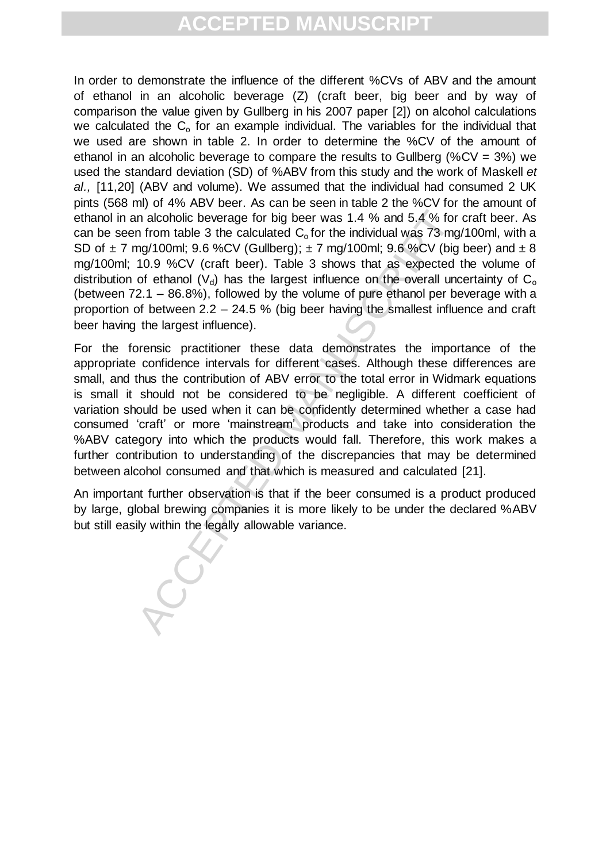In order to demonstrate the influence of the different %CVs of ABV and the amount of ethanol in an alcoholic beverage (Z) (craft beer, big beer and by way of comparison the value given by Gullberg in his 2007 paper [2]) on alcohol calculations we calculated the  $C_0$  for an example individual. The variables for the individual that we used are shown in table 2. In order to determine the %CV of the amount of ethanol in an alcoholic beverage to compare the results to Gullberg (%CV =  $3\%$ ) we used the standard deviation (SD) of %ABV from this study and the work of Maskell *et al.,* [11,20] (ABV and volume). We assumed that the individual had consumed 2 UK pints (568 ml) of 4% ABV beer. As can be seen in table 2 the %CV for the amount of ethanol in an alcoholic beverage for big beer was 1.4 % and 5.4 % for craft beer. As can be seen from table 3 the calculated  $C_0$  for the individual was 73 mg/100ml, with a SD of  $\pm$  7 mg/100ml; 9.6 %CV (Gullberg);  $\pm$  7 mg/100ml; 9.6 %CV (big beer) and  $\pm$  8 mg/100ml; 10.9 %CV (craft beer). Table 3 shows that as expected the volume of distribution of ethanol ( $V<sub>d</sub>$ ) has the largest influence on the overall uncertainty of  $C<sub>o</sub>$ (between 72.1 – 86.8%), followed by the volume of pure ethanol per beverage with a proportion of between 2.2 – 24.5 % (big beer having the smallest influence and craft beer having the largest influence).

in alcoholic beverage for big beer was 1.4 % and 5.4 % for form table 3 the calculated  $C_0$  for the individual was 73 mg mg/100ml; 9.6 %CV (cfullberg);  $\pm 7$  mg/100ml; 9.6 %CV (cfullberg);  $\pm 7$  mg/100ml; 9.6 %CV (graf For the forensic practitioner these data demonstrates the importance of the appropriate confidence intervals for different cases. Although these differences are small, and thus the contribution of ABV error to the total error in Widmark equations is small it should not be considered to be negligible. A different coefficient of variation should be used when it can be confidently determined whether a case had consumed 'craft' or more 'mainstream' products and take into consideration the %ABV category into which the products would fall. Therefore, this work makes a further contribution to understanding of the discrepancies that may be determined between alcohol consumed and that which is measured and calculated [21].

An important further observation is that if the beer consumed is a product produced by large, global brewing companies it is more likely to be under the declared %ABV but still easily within the legally allowable variance.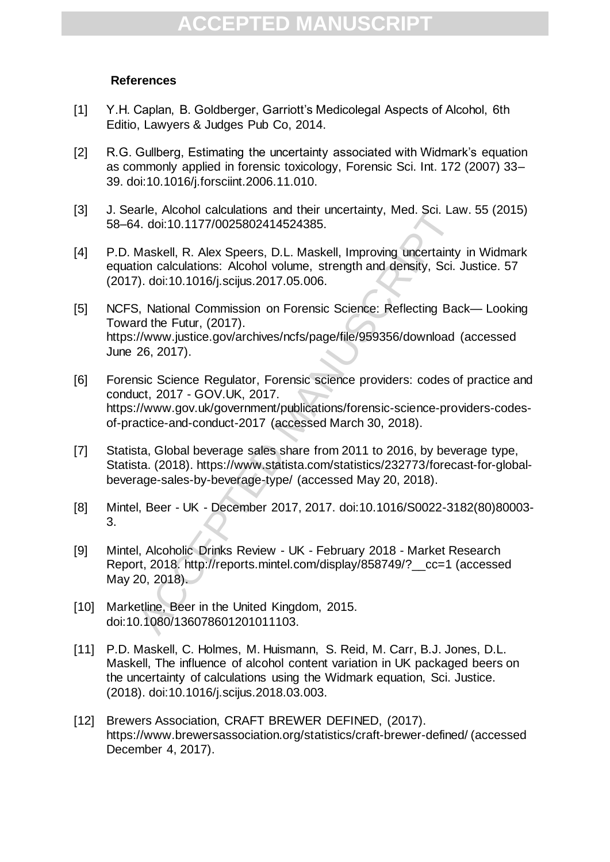### **References**

- [1] Y.H. Caplan, B. Goldberger, Garriott's Medicolegal Aspects of Alcohol, 6th Editio, Lawyers & Judges Pub Co, 2014.
- [2] R.G. Gullberg, Estimating the uncertainty associated with Widmark's equation as commonly applied in forensic toxicology, Forensic Sci. Int. 172 (2007) 33– 39. doi:10.1016/j.forsciint.2006.11.010.
- [3] J. Searle, Alcohol calculations and their uncertainty, Med. Sci. Law. 55 (2015) 58–64. doi:10.1177/0025802414524385.
- [4] P.D. Maskell, R. Alex Speers, D.L. Maskell, Improving uncertainty in Widmark equation calculations: Alcohol volume, strength and density, Sci. Justice. 57 (2017). doi:10.1016/j.scijus.2017.05.006.
- ane, Accondications and their uncertainty, med. Scl. Land, doi:10.1177/00258002414524385.<br>
A. doi:10.1177/00258002414524385.<br>
Maskell, R. Alex Speers, D.L. Maskell, Improving uncertainty<br>
ion calculations: Alcohol volume, [5] NCFS, National Commission on Forensic Science: Reflecting Back— Looking Toward the Futur, (2017). https://www.justice.gov/archives/ncfs/page/file/959356/download (accessed June 26, 2017).
- [6] Forensic Science Regulator, Forensic science providers: codes of practice and conduct, 2017 - GOV.UK, 2017. https://www.gov.uk/government/publications/forensic-science-providers-codesof-practice-and-conduct-2017 (accessed March 30, 2018).
- [7] Statista, Global beverage sales share from 2011 to 2016, by beverage type, Statista. (2018). https://www.statista.com/statistics/232773/forecast-for-globalbeverage-sales-by-beverage-type/ (accessed May 20, 2018).
- [8] Mintel, Beer UK December 2017, 2017. doi:10.1016/S0022-3182(80)80003- 3.
- [9] Mintel, Alcoholic Drinks Review UK February 2018 Market Research Report, 2018. http://reports.mintel.com/display/858749/?\_\_cc=1 (accessed May 20, 2018).
- [10] Marketline, Beer in the United Kingdom, 2015. doi:10.1080/136078601201011103.
- [11] P.D. Maskell, C. Holmes, M. Huismann, S. Reid, M. Carr, B.J. Jones, D.L. Maskell, The influence of alcohol content variation in UK packaged beers on the uncertainty of calculations using the Widmark equation, Sci. Justice. (2018). doi:10.1016/j.scijus.2018.03.003.
- [12] Brewers Association, CRAFT BREWER DEFINED, (2017). https://www.brewersassociation.org/statistics/craft-brewer-defined/ (accessed December 4, 2017).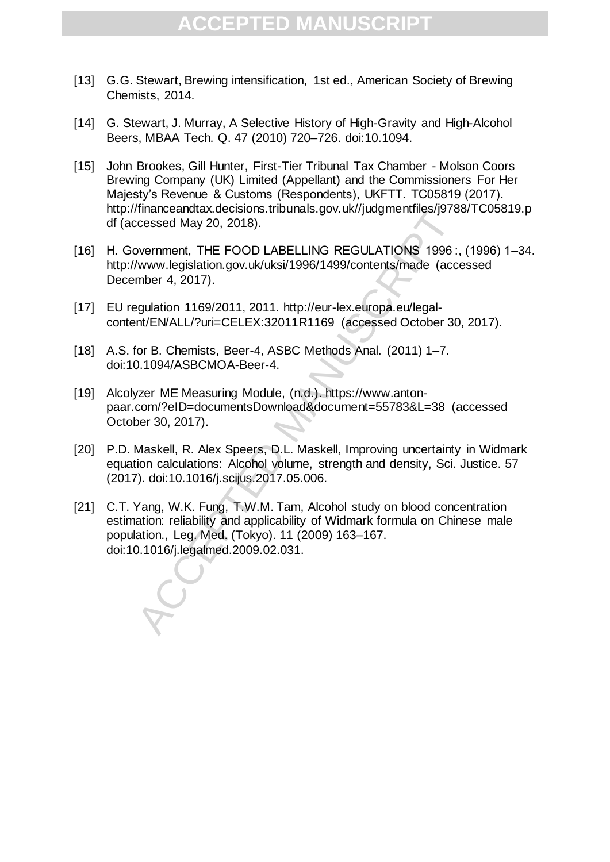- [13] G.G. Stewart, Brewing intensification, 1st ed., American Society of Brewing Chemists, 2014.
- [14] G. Stewart, J. Murray, A Selective History of High-Gravity and High-Alcohol Beers, MBAA Tech. Q. 47 (2010) 720–726. doi:10.1094.
- [15] John Brookes, Gill Hunter, First-Tier Tribunal Tax Chamber Molson Coors Brewing Company (UK) Limited (Appellant) and the Commissioners For Her Majesty's Revenue & Customs (Respondents), UKFTT. TC05819 (2017). http://financeandtax.decisions.tribunals.gov.uk//judgmentfiles/j9788/TC05819.p df (accessed May 20, 2018).
- [16] H. Government, THE FOOD LABELLING REGULATIONS 1996:, (1996) 1-34. http://www.legislation.gov.uk/uksi/1996/1499/contents/made (accessed December 4, 2017).
- [17] EU regulation 1169/2011, 2011. http://eur-lex.europa.eu/legalcontent/EN/ALL/?uri=CELEX:32011R1169 (accessed October 30, 2017).
- [18] A.S. for B. Chemists, Beer-4, ASBC Methods Anal. (2011) 1–7. doi:10.1094/ASBCMOA-Beer-4.
- [19] Alcolyzer ME Measuring Module, (n.d.). https://www.antonpaar.com/?eID=documentsDownload&document=55783&L=38 (accessed October 30, 2017).
- [20] P.D. Maskell, R. Alex Speers, D.L. Maskell, Improving uncertainty in Widmark equation calculations: Alcohol volume, strength and density, Sci. Justice. 57 (2017). doi:10.1016/j.scijus.2017.05.006.
- manuschandxx.ectsions..html<br>hares (May 20, 2018).<br>www.legislation.gov.uk/uksi/1996/1499/contents/made (accessed May 20, 2018).<br>Www.legislation.gov.uk/uksi/1996/1499/contents/made (accessed Way 20, 2017).<br>mber 4, 2017).<br>www [21] C.T. Yang, W.K. Fung, T.W.M. Tam, Alcohol study on blood concentration estimation: reliability and applicability of Widmark formula on Chinese male population., Leg. Med. (Tokyo). 11 (2009) 163–167. doi:10.1016/j.legalmed.2009.02.031.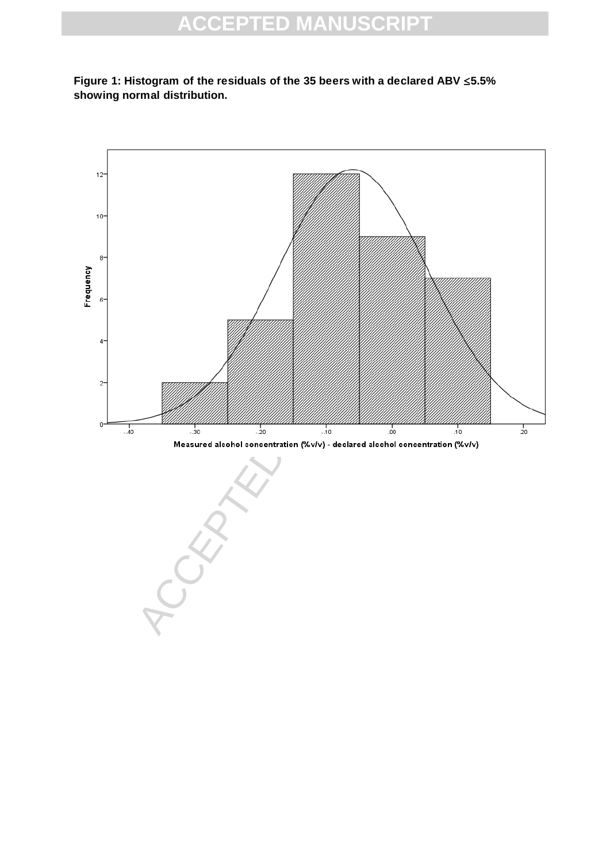

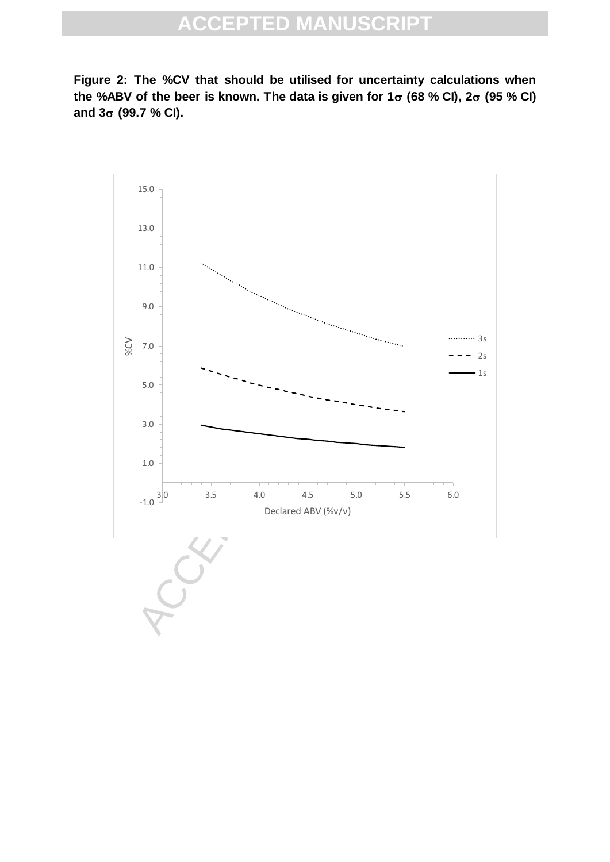**Figure 2: The %CV that should be utilised for uncertainty calculations when**  the %ABV of the beer is known. The data is given for  $1\sigma$  (68 % CI),  $2\sigma$  (95 % CI) **and 3 (99.7 % CI).**

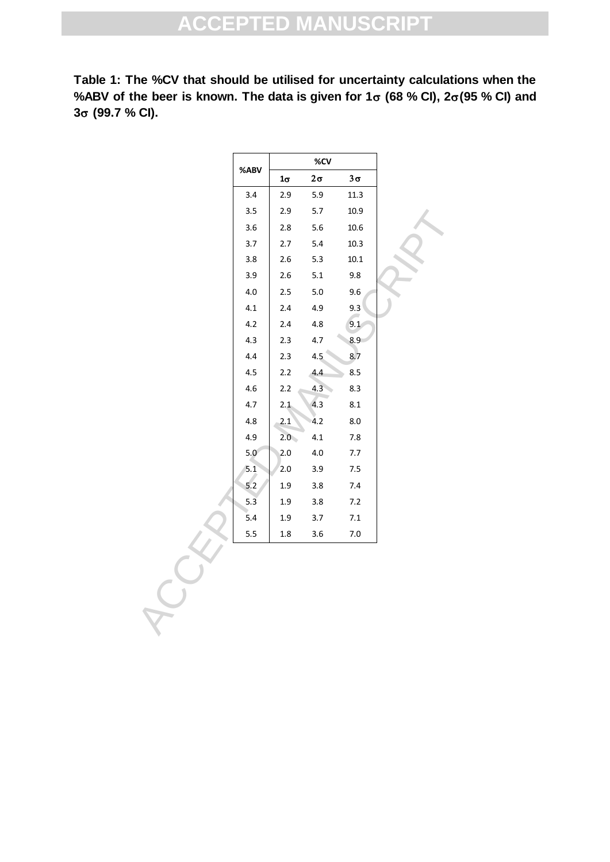**Table 1: The %CV that should be utilised for uncertainty calculations when the**  %ABV of the beer is known. The data is given for  $1\sigma$  (68 % CI),  $2\sigma$ (95 % CI) and **3 (99.7 % CI).**

|         |           | %CV       |           |
|---------|-----------|-----------|-----------|
| %ABV    | $1\sigma$ | $2\sigma$ | $3\sigma$ |
| 3.4     | 2.9       | 5.9       | 11.3      |
| 3.5     | 2.9       | $5.7$     | 10.9      |
| 3.6     | 2.8       | 5.6       | 10.6      |
| 3.7     | 2.7       | 5.4       | 10.3      |
| 3.8     | 2.6       | 5.3       | $10.1\,$  |
| 3.9     | 2.6       | 5.1       | 9.8       |
| 4.0     | 2.5       | 5.0       | 9.6       |
| 4.1     | 2.4       | 4.9       | 9.3       |
| 4.2     | 2.4       | 4.8       | 9.1       |
| 4.3     | 2.3       | 4.7       | 8.9       |
| 4.4     | 2.3       | 4.5       | 8.7       |
| 4.5     | 2.2       | 4.4       | 8.5       |
| $4.6\,$ | 2.2       | 4.3       | 8.3       |
| 4.7     | 2.1       | 4.3       | 8.1       |
| 4.8     | 2.1       | 4.2       | 8.0       |
| 4.9     | 2.0       | 4.1       | 7.8       |
| 5,0     | 2.0       | $4.0\,$   | 7.7       |
| 5.1     | 2.0       | 3.9       | 7.5       |
| $5.2$   | 1.9       | 3.8       | 7.4       |
| 5.3     | 1.9       | 3.8       | 7.2       |
| 5.4     | 1.9       | 3.7       | $7.1\,$   |
| 5.5     | $1.8\,$   | 3.6       | $7.0\,$   |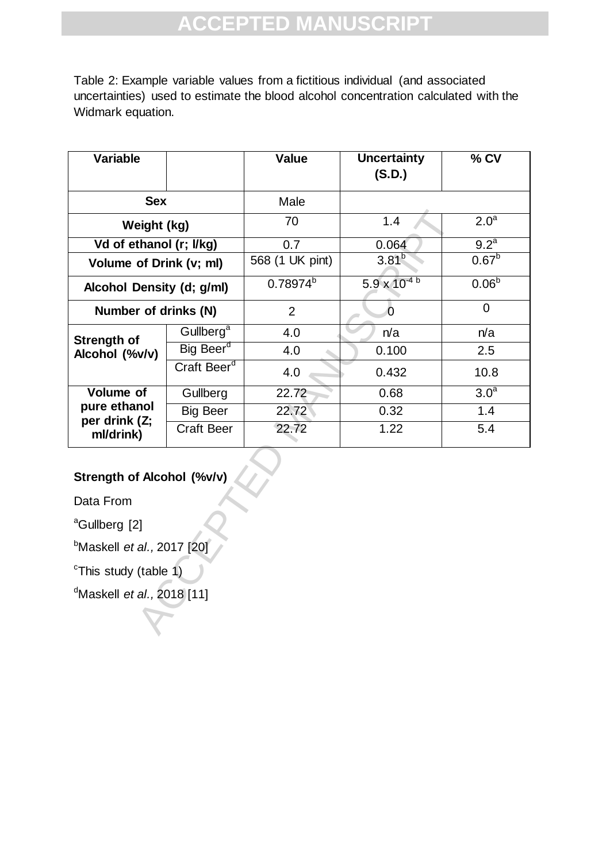Table 2: Example variable values from a fictitious individual (and associated uncertainties) used to estimate the blood alcohol concentration calculated with the Widmark equation.

| <b>Variable</b>                               |                         | <b>Value</b>    | <b>Uncertainty</b><br>(S.D.) | % CV              |  |  |  |
|-----------------------------------------------|-------------------------|-----------------|------------------------------|-------------------|--|--|--|
|                                               |                         |                 |                              |                   |  |  |  |
| <b>Sex</b>                                    |                         | Male            |                              |                   |  |  |  |
| Weight (kg)                                   |                         | 70              | 1.4                          | 2.0 <sup>a</sup>  |  |  |  |
| Vd of ethanol (r; I/kg)                       |                         | 0.7             | 0.064                        | 9.2 <sup>a</sup>  |  |  |  |
| Volume of Drink (v; ml)                       |                         | 568 (1 UK pint) | $3.81^{b}$                   | 0.67 <sup>b</sup> |  |  |  |
| Alcohol Density (d; g/ml)                     |                         | $0.78974^{b}$   | $5.9 \times 10^{-4}$         | 0.06 <sup>b</sup> |  |  |  |
| Number of drinks (N)                          |                         | $\overline{2}$  | $\overline{O}$               | $\overline{0}$    |  |  |  |
| Strength of<br>Alcohol (%v/v)                 | Gullberg <sup>a</sup>   | 4.0             | n/a                          | n/a               |  |  |  |
|                                               | Big Beer <sup>d</sup>   | 4.0             | 0.100                        | 2.5               |  |  |  |
|                                               | Craft Beer <sup>d</sup> | 4.0             | 0.432                        | 10.8              |  |  |  |
| <b>Volume of</b>                              | Gullberg                | 22.72           | 0.68                         | 3.0 <sup>a</sup>  |  |  |  |
| pure ethanol<br>per drink (Z;<br>ml/drink)    | <b>Big Beer</b>         | 22.72           | 0.32                         | 1.4               |  |  |  |
|                                               | <b>Craft Beer</b>       | 22.72           | 1.22                         | 5.4               |  |  |  |
| Strength of Alcohol (%v/v)                    |                         |                 |                              |                   |  |  |  |
| Data From                                     |                         |                 |                              |                   |  |  |  |
| <sup>a</sup> Gullberg [2]                     |                         |                 |                              |                   |  |  |  |
| <sup>b</sup> Maskell <i>et al.,</i> 2017 [20] |                         |                 |                              |                   |  |  |  |
| <sup>c</sup> This study (table 1)             |                         |                 |                              |                   |  |  |  |
| <sup>d</sup> Maskell <i>et al.,</i> 2018 [11] |                         |                 |                              |                   |  |  |  |
|                                               |                         |                 |                              |                   |  |  |  |

## **Strength of Alcohol (%v/v)**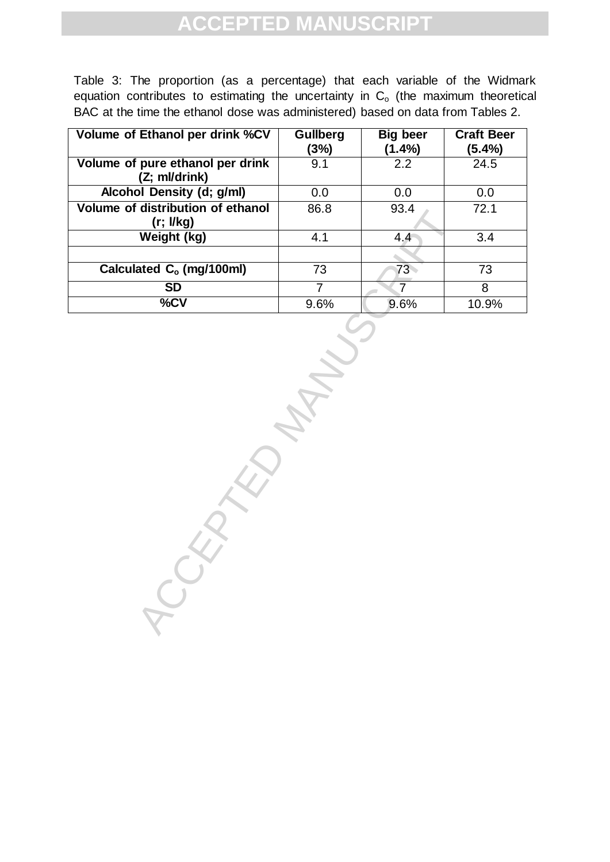Table 3: The proportion (as a percentage) that each variable of the Widmark equation contributes to estimating the uncertainty in  $C<sub>o</sub>$  (the maximum theoretical BAC at the time the ethanol dose was administered) based on data from Tables 2.

| Volume of Ethanol per drink %CV                   | <b>Gullberg</b><br>(3%) | <b>Big beer</b><br>(1.4%) | <b>Craft Beer</b><br>(5.4%) |
|---------------------------------------------------|-------------------------|---------------------------|-----------------------------|
| Volume of pure ethanol per drink<br>(Z; ml/drink) | 9.1                     | 2.2                       | 24.5                        |
| Alcohol Density (d; g/ml)                         | 0.0                     | 0.0                       | 0.0                         |
| Volume of distribution of ethanol                 | 86.8                    | 93.4                      | 72.1                        |
| (r; I/kg)                                         |                         |                           |                             |
| Weight (kg)                                       | 4.1                     | 4.4                       | 3.4                         |
|                                                   |                         |                           |                             |
| Calculated C <sub>o</sub> (mg/100ml)              | 73                      | 73                        | 73                          |
| <b>SD</b>                                         |                         |                           | 8                           |
| %CV                                               | 9.6%                    | 9.6%                      | 10.9%                       |

-GEDRALD MANUSCRIPT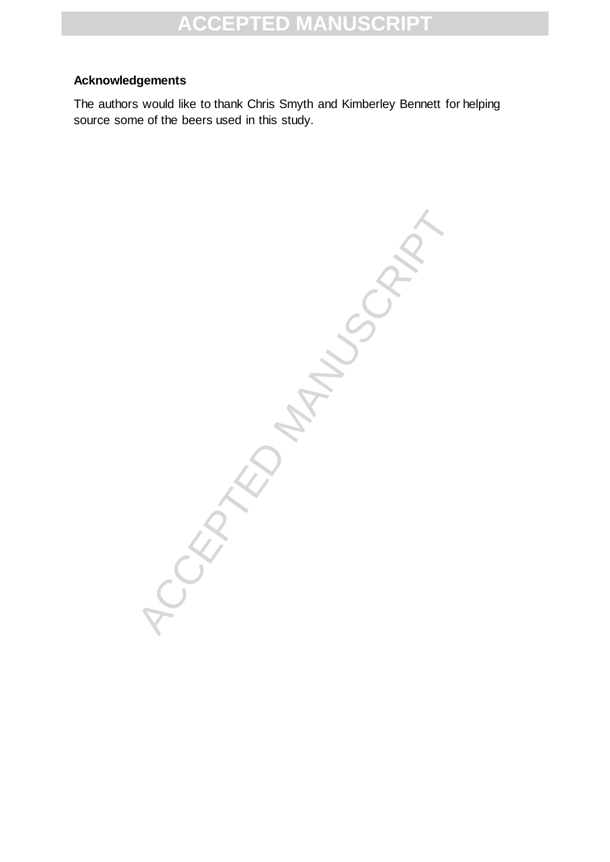### **Acknowledgements**

The authors would like to thank Chris Smyth and Kimberley Bennett for helping source some of the beers used in this study.

**1CCEPTED MANUSCRIPT**